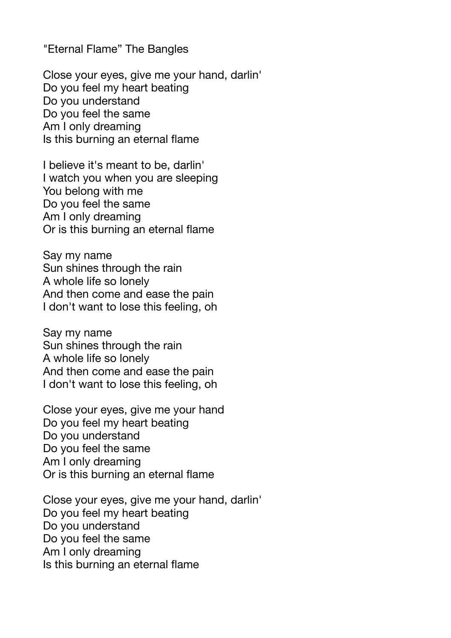"Eternal Flame" The Bangles

Close your eyes, give me your hand, darlin' Do you feel my heart beating Do you understand Do you feel the same Am I only dreaming Is this burning an eternal flame

I believe it's meant to be, darlin' I watch you when you are sleeping You belong with me Do you feel the same Am I only dreaming Or is this burning an eternal flame

Say my name Sun shines through the rain A whole life so lonely And then come and ease the pain I don't want to lose this feeling, oh

Say my name Sun shines through the rain A whole life so lonely And then come and ease the pain I don't want to lose this feeling, oh

Close your eyes, give me your hand Do you feel my heart beating Do you understand Do you feel the same Am I only dreaming Or is this burning an eternal flame

Close your eyes, give me your hand, darlin' Do you feel my heart beating Do you understand Do you feel the same Am I only dreaming Is this burning an eternal flame